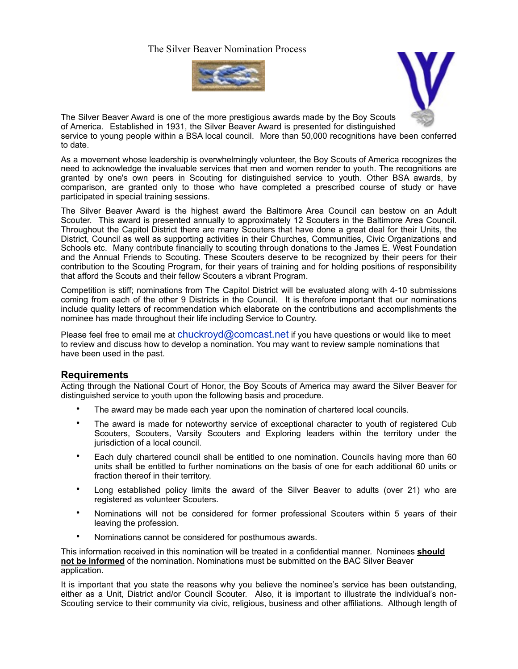## The Silver Beaver Nomination Process





The Silver Beaver Award is one of the more prestigious awards made by the Boy Scouts of America. Established in 1931, the Silver Beaver Award is presented for distinguished service to young people within a BSA local council. More than 50,000 recognitions have been conferred to date.

As a movement whose leadership is overwhelmingly volunteer, the Boy Scouts of America recognizes the need to acknowledge the invaluable services that men and women render to youth. The recognitions are granted by one's own peers in Scouting for distinguished service to youth. Other BSA awards, by comparison, are granted only to those who have completed a prescribed course of study or have participated in special training sessions.

The Silver Beaver Award is the highest award the Baltimore Area Council can bestow on an Adult Scouter. This award is presented annually to approximately 12 Scouters in the Baltimore Area Council. Throughout the Capitol District there are many Scouters that have done a great deal for their Units, the District, Council as well as supporting activities in their Churches, Communities, Civic Organizations and Schools etc. Many contribute financially to scouting through donations to the James E. West Foundation and the Annual Friends to Scouting. These Scouters deserve to be recognized by their peers for their contribution to the Scouting Program, for their years of training and for holding positions of responsibility that afford the Scouts and their fellow Scouters a vibrant Program.

Competition is stiff; nominations from The Capitol District will be evaluated along with 4-10 submissions coming from each of the other 9 Districts in the Council. It is therefore important that our nominations include quality letters of recommendation which elaborate on the contributions and accomplishments the nominee has made throughout their life including Service to Country.

Please feel free to email me at [chuckroyd@comcast.net](mailto:chuckroyd@comcast.net) if you have questions or would like to meet to review and discuss how to develop a nomination. You may want to review sample nominations that have been used in the past.

#### **Requirements**

Acting through the National Court of Honor, the Boy Scouts of America may award the Silver Beaver for distinguished service to youth upon the following basis and procedure.

- The award may be made each year upon the nomination of chartered local councils.
- The award is made for noteworthy service of exceptional character to youth of registered Cub Scouters, Scouters, Varsity Scouters and Exploring leaders within the territory under the jurisdiction of a local council.
- Each duly chartered council shall be entitled to one nomination. Councils having more than 60 units shall be entitled to further nominations on the basis of one for each additional 60 units or fraction thereof in their territory.
- Long established policy limits the award of the Silver Beaver to adults (over 21) who are registered as volunteer Scouters.
- Nominations will not be considered for former professional Scouters within 5 years of their leaving the profession.
- Nominations cannot be considered for posthumous awards.

This information received in this nomination will be treated in a confidential manner. Nominees **should not be informed** of the nomination. Nominations must be submitted on the BAC Silver Beaver application.

It is important that you state the reasons why you believe the nominee's service has been outstanding, either as a Unit, District and/or Council Scouter. Also, it is important to illustrate the individual's non-Scouting service to their community via civic, religious, business and other affiliations. Although length of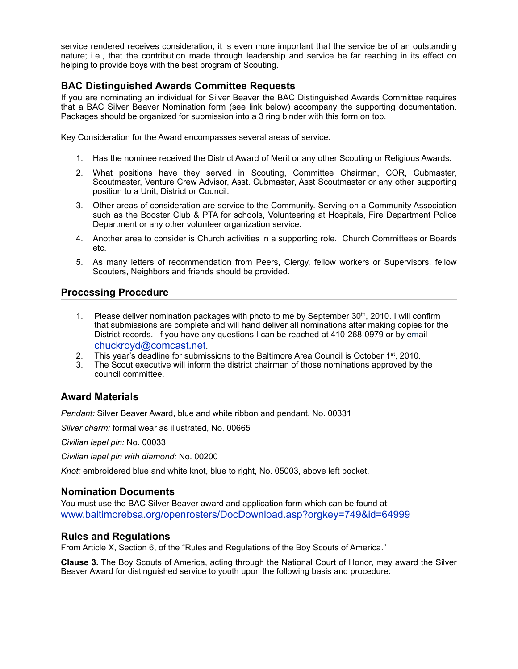service rendered receives consideration, it is even more important that the service be of an outstanding nature; i.e., that the contribution made through leadership and service be far reaching in its effect on helping to provide boys with the best program of Scouting.

## **BAC Distinguished Awards Committee Requests**

If you are nominating an individual for Silver Beaver the BAC Distinguished Awards Committee requires that a BAC Silver Beaver Nomination form (see link below) accompany the supporting documentation. Packages should be organized for submission into a 3 ring binder with this form on top.

Key Consideration for the Award encompasses several areas of service.

- 1. Has the nominee received the District Award of Merit or any other Scouting or Religious Awards.
- 2. What positions have they served in Scouting, Committee Chairman, COR, Cubmaster, Scoutmaster, Venture Crew Advisor, Asst. Cubmaster, Asst Scoutmaster or any other supporting position to a Unit, District or Council.
- 3. Other areas of consideration are service to the Community. Serving on a Community Association such as the Booster Club & PTA for schools, Volunteering at Hospitals, Fire Department Police Department or any other volunteer organization service.
- 4. Another area to consider is Church activities in a supporting role. Church Committees or Boards etc.
- 5. As many letters of recommendation from Peers, Clergy, fellow workers or Supervisors, fellow Scouters, Neighbors and friends should be provided.

## **Processing Procedure**

- 1. Please deliver nomination packages with photo to me by September 30<sup>th</sup>, 2010. I will confirm that submissions are complete and will hand deliver all nominations after making copies for the District records. If you have any questions I can be reached at 410-268-0979 or by email [chuckroyd@comcast.net](http://groups.yahoo.com/group/tcdac/post?postid=flpdikhvcysvgudfhyd5g52nlvkok1bf-lsym1ma1dythld1z8jxcoanaksw59f2t2ofk07o8qjitab7xg).
- 
- 2. This year's deadline for submissions to the Baltimore Area Council is October 1<sup>st</sup>, 2010.<br>3. The Scout executive will inform the district chairman of those nominations approved by t The Scout executive will inform the district chairman of those nominations approved by the council committee.

# **Award Materials**

*Pendant:* Silver Beaver Award, blue and white ribbon and pendant, No. 00331

*Silver charm:* formal wear as illustrated, No. 00665

*Civilian lapel pin:* No. 00033

*Civilian lapel pin with diamond:* No. 00200

*Knot:* embroidered blue and white knot, blue to right, No. 05003, above left pocket.

## **Nomination Documents**

You must use the BAC Silver Beaver award and application form which can be found at: [www.baltimorebsa.org/openrosters/DocDownload.asp?orgkey=749&id=64999](http://www.baltimorebsa.org/openrosters/docdownload.asp?orgkey=749&id=64999)

## **Rules and Regulations**

From Article X, Section 6, of the "Rules and Regulations of the Boy Scouts of America."

**Clause 3.** The Boy Scouts of America, acting through the National Court of Honor, may award the Silver Beaver Award for distinguished service to youth upon the following basis and procedure: